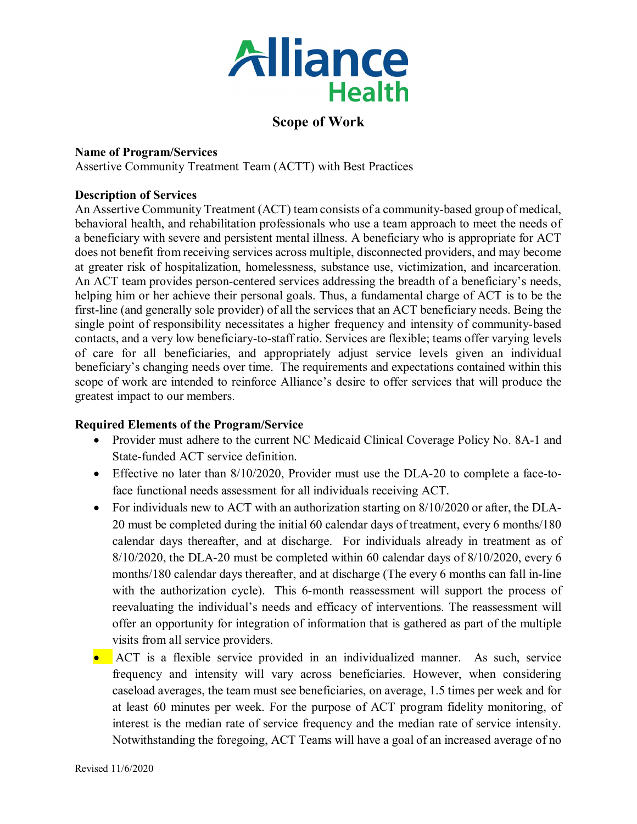

### **Scope of Work**

#### **Name of Program/Services**

Assertive Community Treatment Team (ACTT) with Best Practices

#### **Description of Services**

An Assertive Community Treatment (ACT) team consists of a community-based group of medical, behavioral health, and rehabilitation professionals who use a team approach to meet the needs of a beneficiary with severe and persistent mental illness. A beneficiary who is appropriate for ACT does not benefit from receiving services across multiple, disconnected providers, and may become at greater risk of hospitalization, homelessness, substance use, victimization, and incarceration. An ACT team provides person-centered services addressing the breadth of a beneficiary's needs, helping him or her achieve their personal goals. Thus, a fundamental charge of ACT is to be the first-line (and generally sole provider) of all the services that an ACT beneficiary needs. Being the single point of responsibility necessitates a higher frequency and intensity of community-based contacts, and a very low beneficiary-to-staff ratio. Services are flexible; teams offer varying levels of care for all beneficiaries, and appropriately adjust service levels given an individual beneficiary's changing needs over time. The requirements and expectations contained within this scope of work are intended to reinforce Alliance's desire to offer services that will produce the greatest impact to our members.

#### **Required Elements of the Program/Service**

- Provider must adhere to the current NC Medicaid Clinical Coverage Policy No. 8A-1 and State-funded ACT service definition.
- Effective no later than 8/10/2020, Provider must use the DLA-20 to complete a face-toface functional needs assessment for all individuals receiving ACT.
- For individuals new to ACT with an authorization starting on 8/10/2020 or after, the DLA-20 must be completed during the initial 60 calendar days of treatment, every 6 months/180 calendar days thereafter, and at discharge. For individuals already in treatment as of 8/10/2020, the DLA-20 must be completed within 60 calendar days of 8/10/2020, every 6 months/180 calendar days thereafter, and at discharge (The every 6 months can fall in-line with the authorization cycle). This 6-month reassessment will support the process of reevaluating the individual's needs and efficacy of interventions. The reassessment will offer an opportunity for integration of information that is gathered as part of the multiple visits from all service providers.
- ACT is a flexible service provided in an individualized manner. As such, service frequency and intensity will vary across beneficiaries. However, when considering caseload averages, the team must see beneficiaries, on average, 1.5 times per week and for at least 60 minutes per week. For the purpose of ACT program fidelity monitoring, of interest is the median rate of service frequency and the median rate of service intensity. Notwithstanding the foregoing, ACT Teams will have a goal of an increased average of no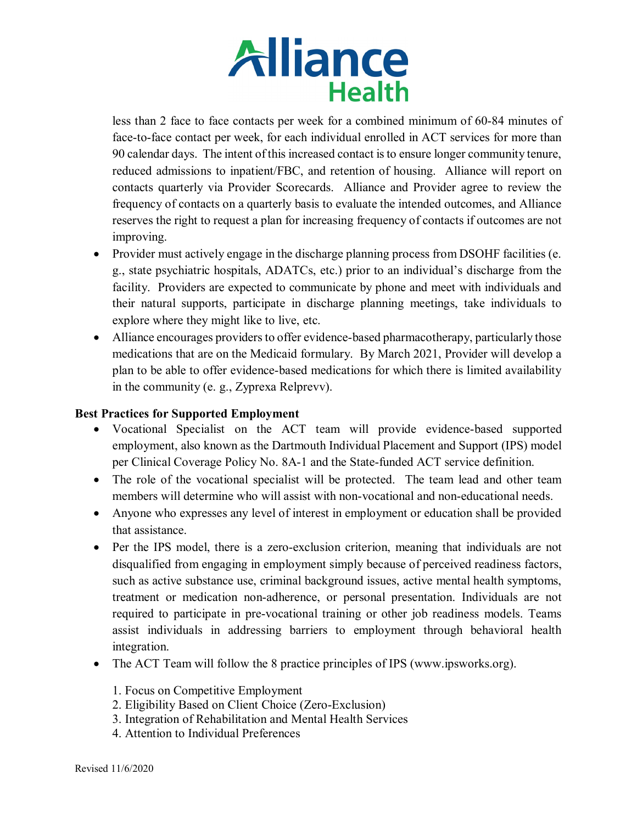less than 2 face to face contacts per week for a combined minimum of 60-84 minutes of face-to-face contact per week, for each individual enrolled in ACT services for more than 90 calendar days. The intent of this increased contact is to ensure longer community tenure, reduced admissions to inpatient/FBC, and retention of housing. Alliance will report on contacts quarterly via Provider Scorecards. Alliance and Provider agree to review the frequency of contacts on a quarterly basis to evaluate the intended outcomes, and Alliance reserves the right to request a plan for increasing frequency of contacts if outcomes are not improving.

- Provider must actively engage in the discharge planning process from DSOHF facilities (e. g., state psychiatric hospitals, ADATCs, etc.) prior to an individual's discharge from the facility. Providers are expected to communicate by phone and meet with individuals and their natural supports, participate in discharge planning meetings, take individuals to explore where they might like to live, etc.
- Alliance encourages providers to offer evidence-based pharmacotherapy, particularly those medications that are on the Medicaid formulary. By March 2021, Provider will develop a plan to be able to offer evidence-based medications for which there is limited availability in the community (e. g., Zyprexa Relprevv).

#### **Best Practices for Supported Employment**

- Vocational Specialist on the ACT team will provide evidence-based supported employment, also known as the Dartmouth Individual Placement and Support (IPS) model per Clinical Coverage Policy No. 8A-1 and the State-funded ACT service definition.
- The role of the vocational specialist will be protected. The team lead and other team members will determine who will assist with non-vocational and non-educational needs.
- Anyone who expresses any level of interest in employment or education shall be provided that assistance.
- Per the IPS model, there is a zero-exclusion criterion, meaning that individuals are not disqualified from engaging in employment simply because of perceived readiness factors, such as active substance use, criminal background issues, active mental health symptoms, treatment or medication non-adherence, or personal presentation. Individuals are not required to participate in pre-vocational training or other job readiness models. Teams assist individuals in addressing barriers to employment through behavioral health integration.
- The ACT Team will follow the 8 practice principles of IPS (www.ipsworks.org).
	- 1. Focus on Competitive Employment
	- 2. Eligibility Based on Client Choice (Zero-Exclusion)
	- 3. Integration of Rehabilitation and Mental Health Services
	- 4. Attention to Individual Preferences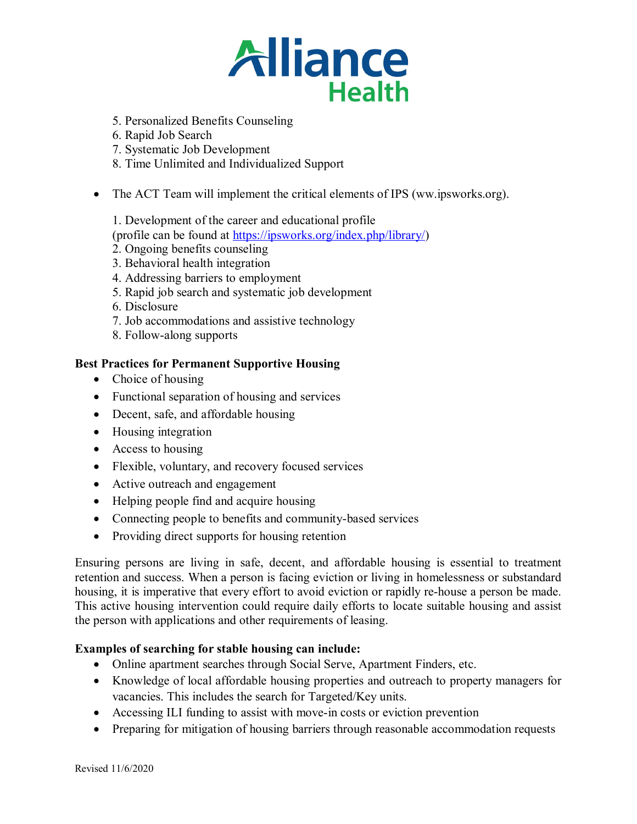- 5. Personalized Benefits Counseling
- 6. Rapid Job Search
- 7. Systematic Job Development
- 8. Time Unlimited and Individualized Support
- The ACT Team will implement the critical elements of IPS (ww.ipsworks.org).
	- 1. Development of the career and educational profile
	- (profile can be found at [https://ipsworks.org/index.php/library/\)](https://ipsworks.org/index.php/library/)
	- 2. Ongoing benefits counseling
	- 3. Behavioral health integration
	- 4. Addressing barriers to employment
	- 5. Rapid job search and systematic job development
	- 6. Disclosure
	- 7. Job accommodations and assistive technology
	- 8. Follow-along supports

#### **Best Practices for Permanent Supportive Housing**

- Choice of housing
- Functional separation of housing and services
- Decent, safe, and affordable housing
- Housing integration
- Access to housing
- Flexible, voluntary, and recovery focused services
- Active outreach and engagement
- Helping people find and acquire housing
- Connecting people to benefits and community-based services
- Providing direct supports for housing retention

Ensuring persons are living in safe, decent, and affordable housing is essential to treatment retention and success. When a person is facing eviction or living in homelessness or substandard housing, it is imperative that every effort to avoid eviction or rapidly re-house a person be made. This active housing intervention could require daily efforts to locate suitable housing and assist the person with applications and other requirements of leasing.

#### **Examples of searching for stable housing can include:**

- Online apartment searches through Social Serve, Apartment Finders, etc.
- Knowledge of local affordable housing properties and outreach to property managers for vacancies. This includes the search for Targeted/Key units.
- Accessing ILI funding to assist with move-in costs or eviction prevention
- Preparing for mitigation of housing barriers through reasonable accommodation requests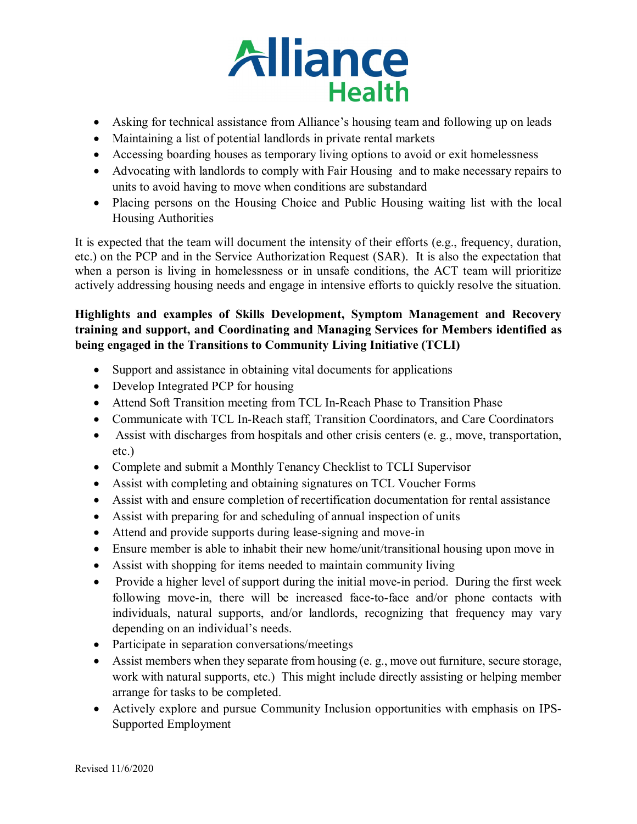

- Asking for technical assistance from Alliance's housing team and following up on leads
- Maintaining a list of potential landlords in private rental markets
- Accessing boarding houses as temporary living options to avoid or exit homelessness
- Advocating with landlords to comply with Fair Housing and to make necessary repairs to units to avoid having to move when conditions are substandard
- Placing persons on the Housing Choice and Public Housing waiting list with the local Housing Authorities

It is expected that the team will document the intensity of their efforts (e.g., frequency, duration, etc.) on the PCP and in the Service Authorization Request (SAR). It is also the expectation that when a person is living in homelessness or in unsafe conditions, the ACT team will prioritize actively addressing housing needs and engage in intensive efforts to quickly resolve the situation.

#### **Highlights and examples of Skills Development, Symptom Management and Recovery training and support, and Coordinating and Managing Services for Members identified as being engaged in the Transitions to Community Living Initiative (TCLI)**

- Support and assistance in obtaining vital documents for applications
- Develop Integrated PCP for housing
- Attend Soft Transition meeting from TCL In-Reach Phase to Transition Phase
- Communicate with TCL In-Reach staff, Transition Coordinators, and Care Coordinators
- Assist with discharges from hospitals and other crisis centers (e. g., move, transportation, etc.)
- Complete and submit a Monthly Tenancy Checklist to TCLI Supervisor
- Assist with completing and obtaining signatures on TCL Voucher Forms
- Assist with and ensure completion of recertification documentation for rental assistance
- Assist with preparing for and scheduling of annual inspection of units
- Attend and provide supports during lease-signing and move-in
- Ensure member is able to inhabit their new home/unit/transitional housing upon move in
- Assist with shopping for items needed to maintain community living
- Provide a higher level of support during the initial move-in period. During the first week following move-in, there will be increased face-to-face and/or phone contacts with individuals, natural supports, and/or landlords, recognizing that frequency may vary depending on an individual's needs.
- Participate in separation conversations/meetings
- Assist members when they separate from housing (e. g., move out furniture, secure storage, work with natural supports, etc.) This might include directly assisting or helping member arrange for tasks to be completed.
- Actively explore and pursue Community Inclusion opportunities with emphasis on IPS-Supported Employment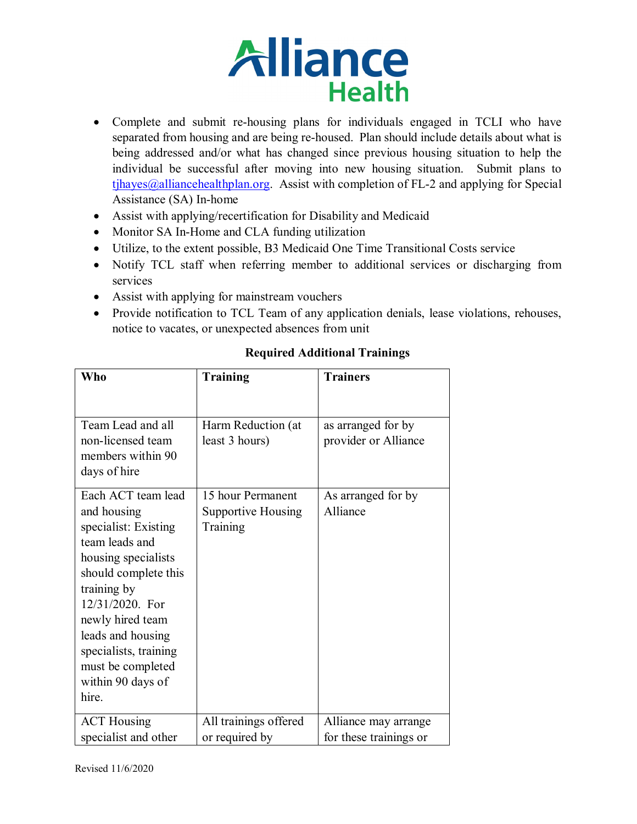- Complete and submit re-housing plans for individuals engaged in TCLI who have separated from housing and are being re-housed. Plan should include details about what is being addressed and/or what has changed since previous housing situation to help the individual be successful after moving into new housing situation. Submit plans to  $tjhayes@alliancehealthplan.org.$  Assist with completion of FL-2 and applying for Special Assistance (SA) In-home
- Assist with applying/recertification for Disability and Medicaid
- Monitor SA In-Home and CLA funding utilization
- Utilize, to the extent possible, B3 Medicaid One Time Transitional Costs service
- Notify TCL staff when referring member to additional services or discharging from services
- Assist with applying for mainstream vouchers
- Provide notification to TCL Team of any application denials, lease violations, rehouses, notice to vacates, or unexpected absences from unit

| <b>Who</b>                                                                                                                                                                                                                                                                        | <b>Training</b>                                     | <b>Trainers</b>                                |
|-----------------------------------------------------------------------------------------------------------------------------------------------------------------------------------------------------------------------------------------------------------------------------------|-----------------------------------------------------|------------------------------------------------|
|                                                                                                                                                                                                                                                                                   |                                                     |                                                |
| Team Lead and all<br>non-licensed team<br>members within 90<br>days of hire                                                                                                                                                                                                       | Harm Reduction (at<br>least 3 hours)                | as arranged for by<br>provider or Alliance     |
| Each ACT team lead<br>and housing<br>specialist: Existing<br>team leads and<br>housing specialists<br>should complete this<br>training by<br>12/31/2020. For<br>newly hired team<br>leads and housing<br>specialists, training<br>must be completed<br>within 90 days of<br>hire. | 15 hour Permanent<br>Supportive Housing<br>Training | As arranged for by<br>Alliance                 |
| <b>ACT</b> Housing<br>specialist and other                                                                                                                                                                                                                                        | All trainings offered<br>or required by             | Alliance may arrange<br>for these trainings or |

### **Required Additional Trainings**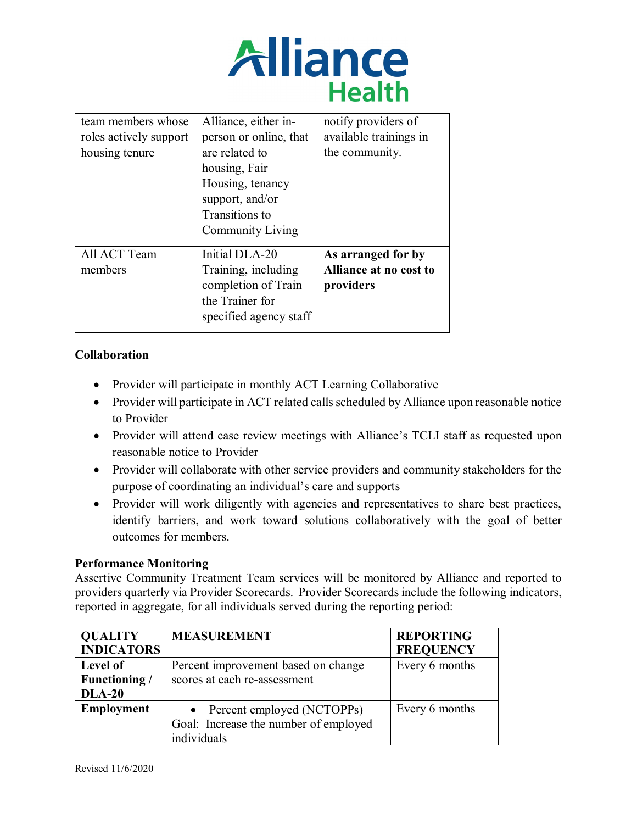

| team members whose<br>roles actively support<br>housing tenure | Alliance, either in-<br>person or online, that<br>are related to<br>housing, Fair<br>Housing, tenancy<br>support, and/or<br>Transitions to<br>Community Living | notify providers of<br>available trainings in<br>the community. |
|----------------------------------------------------------------|----------------------------------------------------------------------------------------------------------------------------------------------------------------|-----------------------------------------------------------------|
| All ACT Team<br>members                                        | Initial DLA-20<br>Training, including<br>completion of Train<br>the Trainer for<br>specified agency staff                                                      | As arranged for by<br>Alliance at no cost to<br>providers       |

#### **Collaboration**

- Provider will participate in monthly ACT Learning Collaborative
- Provider will participate in ACT related calls scheduled by Alliance upon reasonable notice to Provider
- Provider will attend case review meetings with Alliance's TCLI staff as requested upon reasonable notice to Provider
- Provider will collaborate with other service providers and community stakeholders for the purpose of coordinating an individual's care and supports
- Provider will work diligently with agencies and representatives to share best practices, identify barriers, and work toward solutions collaboratively with the goal of better outcomes for members.

#### **Performance Monitoring**

Assertive Community Treatment Team services will be monitored by Alliance and reported to providers quarterly via Provider Scorecards. Provider Scorecards include the following indicators, reported in aggregate, for all individuals served during the reporting period:

| <b>QUALITY</b>    | <b>MEASUREMENT</b>                    | <b>REPORTING</b> |
|-------------------|---------------------------------------|------------------|
| <b>INDICATORS</b> |                                       | <b>FREQUENCY</b> |
| Level of          | Percent improvement based on change   | Every 6 months   |
| Functioning /     | scores at each re-assessment          |                  |
| <b>DLA-20</b>     |                                       |                  |
| <b>Employment</b> | • Percent employed (NCTOPPs)          | Every 6 months   |
|                   | Goal: Increase the number of employed |                  |
|                   | individuals                           |                  |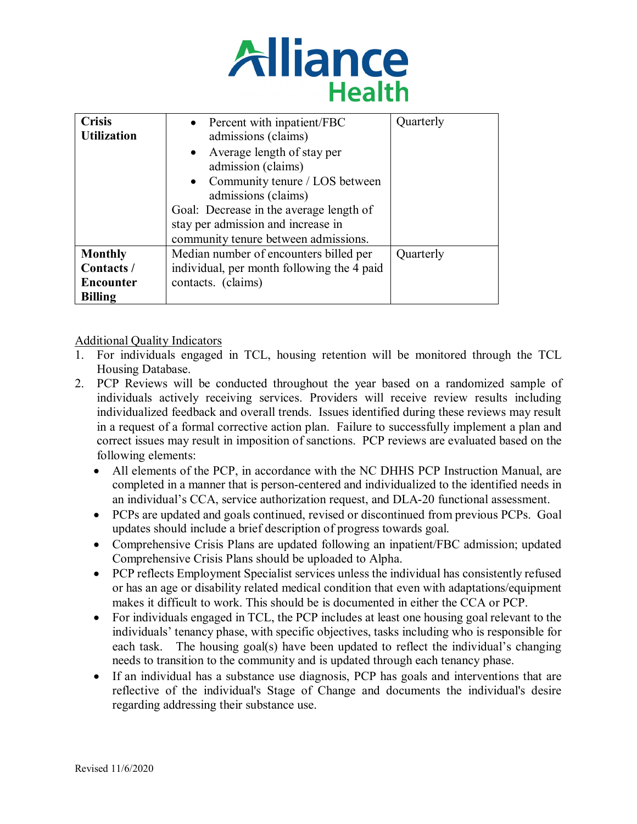

| <b>Crisis</b><br><b>Utilization</b> | • Percent with inpatient/FBC<br>admissions (claims)     | Quarterly |
|-------------------------------------|---------------------------------------------------------|-----------|
|                                     | • Average length of stay per<br>admission (claims)      |           |
|                                     | • Community tenure / LOS between<br>admissions (claims) |           |
|                                     | Goal: Decrease in the average length of                 |           |
|                                     | stay per admission and increase in                      |           |
|                                     | community tenure between admissions.                    |           |
| <b>Monthly</b>                      | Median number of encounters billed per                  | Quarterly |
| Contacts /                          | individual, per month following the 4 paid              |           |
| <b>Encounter</b>                    | contacts. (claims)                                      |           |
| <b>Billing</b>                      |                                                         |           |

Additional Quality Indicators

- 1. For individuals engaged in TCL, housing retention will be monitored through the TCL Housing Database.
- 2. PCP Reviews will be conducted throughout the year based on a randomized sample of individuals actively receiving services. Providers will receive review results including individualized feedback and overall trends. Issues identified during these reviews may result in a request of a formal corrective action plan. Failure to successfully implement a plan and correct issues may result in imposition of sanctions. PCP reviews are evaluated based on the following elements:
	- All elements of the PCP, in accordance with the NC DHHS PCP Instruction Manual, are completed in a manner that is person-centered and individualized to the identified needs in an individual's CCA, service authorization request, and DLA-20 functional assessment.
	- PCPs are updated and goals continued, revised or discontinued from previous PCPs. Goal updates should include a brief description of progress towards goal.
	- Comprehensive Crisis Plans are updated following an inpatient/FBC admission; updated Comprehensive Crisis Plans should be uploaded to Alpha.
	- PCP reflects Employment Specialist services unless the individual has consistently refused or has an age or disability related medical condition that even with adaptations/equipment makes it difficult to work. This should be is documented in either the CCA or PCP.
	- For individuals engaged in TCL, the PCP includes at least one housing goal relevant to the individuals' tenancy phase, with specific objectives, tasks including who is responsible for each task. The housing goal(s) have been updated to reflect the individual's changing needs to transition to the community and is updated through each tenancy phase.
	- If an individual has a substance use diagnosis, PCP has goals and interventions that are reflective of the individual's Stage of Change and documents the individual's desire regarding addressing their substance use.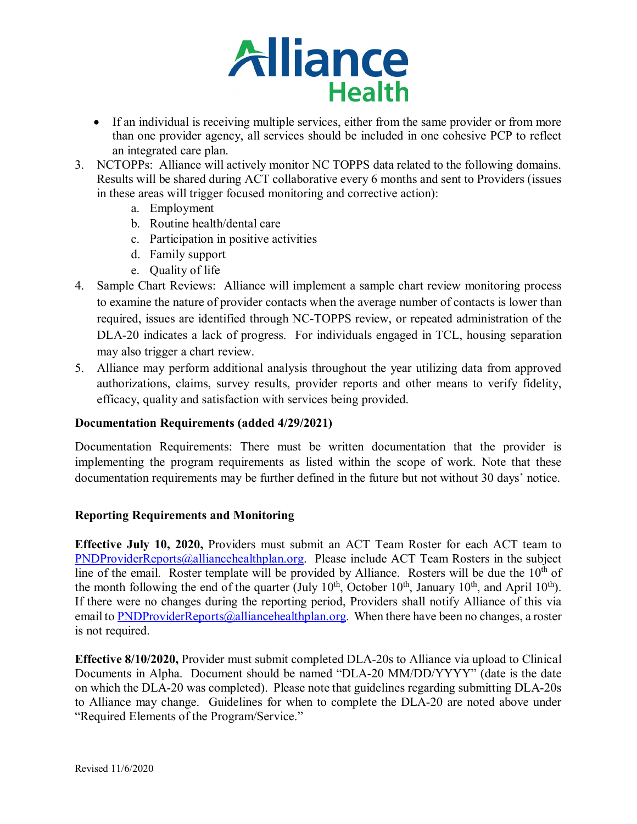- If an individual is receiving multiple services, either from the same provider or from more than one provider agency, all services should be included in one cohesive PCP to reflect an integrated care plan.
- 3. NCTOPPs: Alliance will actively monitor NC TOPPS data related to the following domains. Results will be shared during ACT collaborative every 6 months and sent to Providers (issues in these areas will trigger focused monitoring and corrective action):
	- a. Employment
	- b. Routine health/dental care
	- c. Participation in positive activities
	- d. Family support
	- e. Quality of life
- 4. Sample Chart Reviews: Alliance will implement a sample chart review monitoring process to examine the nature of provider contacts when the average number of contacts is lower than required, issues are identified through NC-TOPPS review, or repeated administration of the DLA-20 indicates a lack of progress. For individuals engaged in TCL, housing separation may also trigger a chart review.
- 5. Alliance may perform additional analysis throughout the year utilizing data from approved authorizations, claims, survey results, provider reports and other means to verify fidelity, efficacy, quality and satisfaction with services being provided.

#### **Documentation Requirements (added 4/29/2021)**

Documentation Requirements: There must be written documentation that the provider is implementing the program requirements as listed within the scope of work. Note that these documentation requirements may be further defined in the future but not without 30 days' notice.

#### **Reporting Requirements and Monitoring**

**Effective July 10, 2020,** Providers must submit an ACT Team Roster for each ACT team to [PNDProviderReports@alliancehealthplan.org.](mailto:PNDProviderReports@alliancehealthplan.org) Please include ACT Team Rosters in the subject line of the email. Roster template will be provided by Alliance. Rosters will be due the  $10<sup>th</sup>$  of the month following the end of the quarter (July  $10^{th}$ , October  $10^{th}$ , January  $10^{th}$ , and April  $10^{th}$ ). If there were no changes during the reporting period, Providers shall notify Alliance of this via email t[o PNDProviderReports@alliancehealthplan.org.](mailto:PNDProviderReports@alliancehealthplan.org) When there have been no changes, a roster is not required.

**Effective 8/10/2020,** Provider must submit completed DLA-20s to Alliance via upload to Clinical Documents in Alpha. Document should be named "DLA-20 MM/DD/YYYY" (date is the date on which the DLA-20 was completed). Please note that guidelines regarding submitting DLA-20s to Alliance may change. Guidelines for when to complete the DLA-20 are noted above under "Required Elements of the Program/Service."